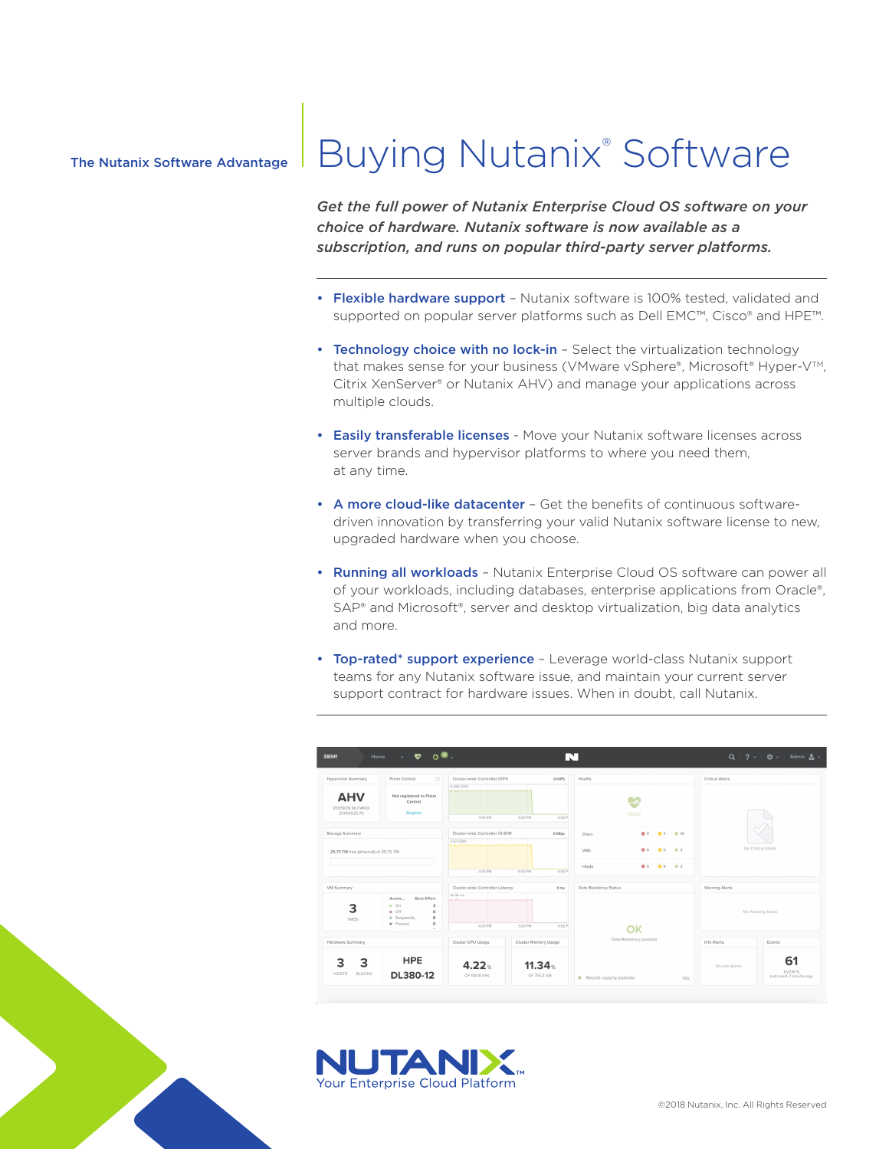### The Nutanix Software Advantage

# Buying Nutanix® Software

*Get the full power of Nutanix Enterprise Cloud OS software on your choice of hardware. Nutanix software is now available as a subscription, and runs on popular third-party server platforms.*

- Flexible hardware support Nutanix software is 100% tested, validated and supported on popular server platforms such as Dell EMC™, Cisco® and HPE™.
- Technology choice with no lock-in Select the virtualization technology that makes sense for your business (VMware vSphere®, Microsoft® Hyper-V™, Citrix XenServer® or Nutanix AHV) and manage your applications across multiple clouds.
- Easily transferable licenses Move your Nutanix software licenses across server brands and hypervisor platforms to where you need them, at any time.
- A more cloud-like datacenter Get the benefits of continuous softwaredriven innovation by transferring your valid Nutanix software license to new, upgraded hardware when you choose.
- Running all workloads Nutanix Enterprise Cloud OS software can power all of your workloads, including databases, enterprise applications from Oracle®, SAP® and Microsoft®, server and desktop virtualization, big data analytics and more.
- Top-rated\* support experience Leverage world-class Nutanix support teams for any Nutanix software issue, and maintain your current server support contract for hardware issues. When in doubt, call Nutanix.